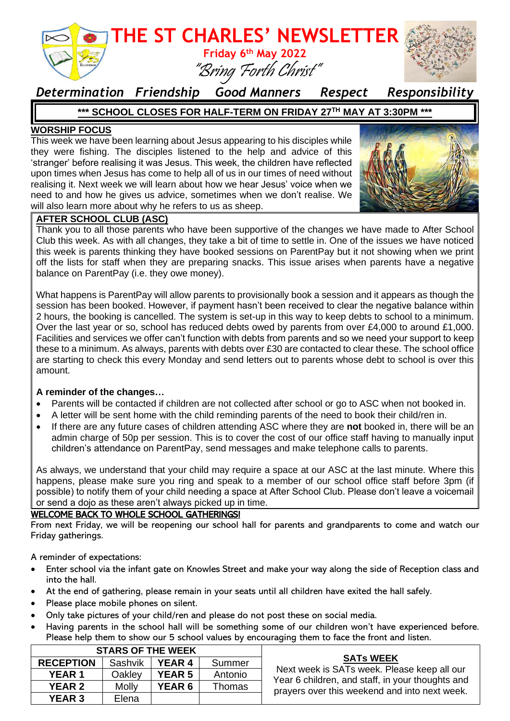

### *Determination Friendship Good Manners Respect Responsibility*

#### **\*\*\* SCHOOL CLOSES FOR HALF-TERM ON FRIDAY 27TH MAY AT 3:30PM \*\*\***

#### **WORSHIP FOCUS**

This week we have been learning about Jesus appearing to his disciples while they were fishing. The disciples listened to the help and advice of this 'stranger' before realising it was Jesus. This week, the children have reflected upon times when Jesus has come to help all of us in our times of need without realising it. Next week we will learn about how we hear Jesus' voice when we need to and how he gives us advice, sometimes when we don't realise. We will also learn more about why he refers to us as sheep.



#### **AFTER SCHOOL CLUB (ASC)**

Thank you to all those parents who have been supportive of the changes we have made to After School Club this week. As with all changes, they take a bit of time to settle in. One of the issues we have noticed this week is parents thinking they have booked sessions on ParentPay but it not showing when we print off the lists for staff when they are preparing snacks. This issue arises when parents have a negative balance on ParentPay (i.e. they owe money).

What happens is ParentPay will allow parents to provisionally book a session and it appears as though the session has been booked. However, if payment hasn't been received to clear the negative balance within 2 hours, the booking is cancelled. The system is set-up in this way to keep debts to school to a minimum. Over the last year or so, school has reduced debts owed by parents from over £4,000 to around £1,000. Facilities and services we offer can't function with debts from parents and so we need your support to keep these to a minimum. As always, parents with debts over £30 are contacted to clear these. The school office are starting to check this every Monday and send letters out to parents whose debt to school is over this amount.

#### **A reminder of the changes…**

- Parents will be contacted if children are not collected after school or go to ASC when not booked in.
- A letter will be sent home with the child reminding parents of the need to book their child/ren in.
- If there are any future cases of children attending ASC where they are **not** booked in, there will be an admin charge of 50p per session. This is to cover the cost of our office staff having to manually input children's attendance on ParentPay, send messages and make telephone calls to parents.

As always, we understand that your child may require a space at our ASC at the last minute. Where this happens, please make sure you ring and speak to a member of our school office staff before 3pm (if possible) to notify them of your child needing a space at After School Club. Please don't leave a voicemail or send a dojo as these aren't always picked up in time.

#### WELCOME BACK TO WHOLE SCHOOL GATHERINGS!

From next Friday, we will be reopening our school hall for parents and grandparents to come and watch our Friday gatherings.

A reminder of expectations:

- Enter school via the infant gate on Knowles Street and make your way along the side of Reception class and into the hall.
- At the end of gathering, please remain in your seats until all children have exited the hall safely.
- Please place mobile phones on silent.
- Only take pictures of your child/ren and please do not post these on social media.
- Having parents in the school hall will be something some of our children won't have experienced before. Please help them to show our 5 school values by encouraging them to face the front and listen.

| <b>STARS OF THE WEEK</b> |                |               |         |                                                                                                                                                                      |
|--------------------------|----------------|---------------|---------|----------------------------------------------------------------------------------------------------------------------------------------------------------------------|
| <b>RECEPTION</b>         | <b>Sashvik</b> | <b>YEAR 4</b> | Summer  | <b>SATs WEEK</b><br>Next week is SATs week. Please keep all our<br>Year 6 children, and staff, in your thoughts and<br>prayers over this weekend and into next week. |
| <b>YEAR 1</b>            | Oaklev         | <b>YEAR 5</b> | Antonio |                                                                                                                                                                      |
| <b>YEAR 2</b>            | <b>Molly</b>   | <b>YEAR 6</b> | Thomas  |                                                                                                                                                                      |
| <b>YEAR 3</b>            | Elena          |               |         |                                                                                                                                                                      |